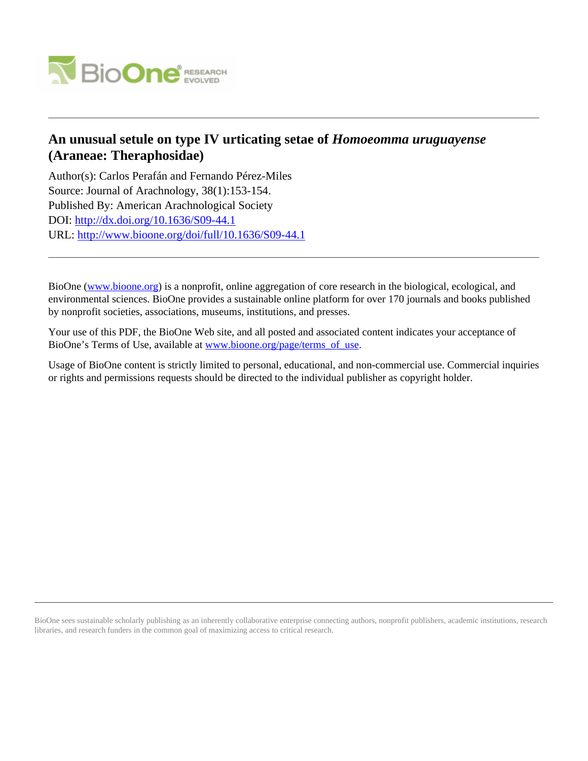

# **An unusual setule on type IV urticating setae of** *Homoeomma uruguayense* **(Araneae: Theraphosidae)**

Author(s): Carlos Perafán and Fernando Pérez-Miles Source: Journal of Arachnology, 38(1):153-154. Published By: American Arachnological Society DOI:<http://dx.doi.org/10.1636/S09-44.1> URL: <http://www.bioone.org/doi/full/10.1636/S09-44.1>

BioOne [\(www.bioone.org\)](http://www.bioone.org) is a nonprofit, online aggregation of core research in the biological, ecological, and environmental sciences. BioOne provides a sustainable online platform for over 170 journals and books published by nonprofit societies, associations, museums, institutions, and presses.

Your use of this PDF, the BioOne Web site, and all posted and associated content indicates your acceptance of BioOne's Terms of Use, available at [www.bioone.org/page/terms\\_of\\_use.](http://www.bioone.org/page/terms_of_use)

Usage of BioOne content is strictly limited to personal, educational, and non-commercial use. Commercial inquiries or rights and permissions requests should be directed to the individual publisher as copyright holder.

BioOne sees sustainable scholarly publishing as an inherently collaborative enterprise connecting authors, nonprofit publishers, academic institutions, research libraries, and research funders in the common goal of maximizing access to critical research.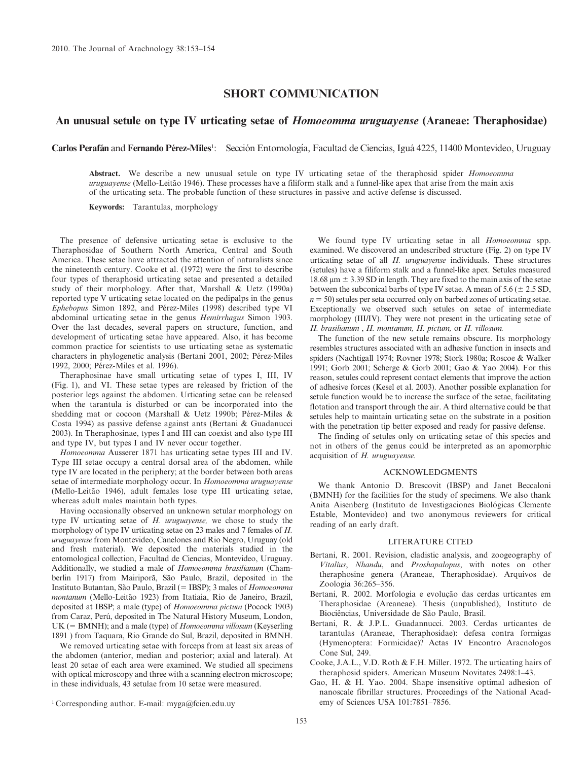### SHORT COMMUNICATION

## An unusual setule on type IV urticating setae of *Homoeomma uruguayense* (Araneae: Theraphosidae)

Carlos Perafán and Fernando Pérez-Miles<sup>1</sup>: Sección Entomología, Facultad de Ciencias, Iguá 4225, 11400 Montevideo, Uruguay

Abstract. We describe a new unusual setule on type IV urticating setae of the theraphosid spider Homoeomma uruguayense (Mello-Leitão 1946). These processes have a filiform stalk and a funnel-like apex that arise from the main axis of the urticating seta. The probable function of these structures in passive and active defense is discussed.

Keywords: Tarantulas, morphology

The presence of defensive urticating setae is exclusive to the Theraphosidae of Southern North America, Central and South America. These setae have attracted the attention of naturalists since the nineteenth century. Cooke et al. (1972) were the first to describe four types of theraphosid urticating setae and presented a detailed study of their morphology. After that, Marshall & Uetz (1990a) reported type V urticating setae located on the pedipalps in the genus Ephebopus Simon 1892, and Pérez-Miles (1998) described type VI abdominal urticating setae in the genus Hemirrhagus Simon 1903. Over the last decades, several papers on structure, function, and development of urticating setae have appeared. Also, it has become common practice for scientists to use urticating setae as systematic characters in phylogenetic analysis (Bertani 2001, 2002; Pérez-Miles 1992, 2000; Pérez-Miles et al. 1996).

Theraphosinae have small urticating setae of types I, III, IV (Fig. 1), and VI. These setae types are released by friction of the posterior legs against the abdomen. Urticating setae can be released when the tarantula is disturbed or can be incorporated into the shedding mat or cocoon (Marshall & Uetz 1990b; Pérez-Miles & Costa 1994) as passive defense against ants (Bertani & Guadanucci 2003). In Theraphosinae, types I and III can coexist and also type III and type IV, but types I and IV never occur together.

Homoeomma Ausserer 1871 has urticating setae types III and IV. Type III setae occupy a central dorsal area of the abdomen, while type IV are located in the periphery; at the border between both areas setae of intermediate morphology occur. In Homoeomma uruguayense (Mello-Leitão 1946), adult females lose type III urticating setae, whereas adult males maintain both types.

Having occasionally observed an unknown setular morphology on type IV urticating setae of H. uruguayense, we chose to study the morphology of type IV urticating setae on 23 males and 7 females of H. uruguayense from Montevideo, Canelones and Rio Negro, Uruguay (old and fresh material). We deposited the materials studied in the entomological collection, Facultad de Ciencias, Montevideo, Uruguay. Additionally, we studied a male of Homoeomma brasilianum (Chamberlin 1917) from Mairiporã, São Paulo, Brazil, deposited in the Instituto Butantan, São Paulo, Brazil (= IBSP); 3 males of Homoeomma montanum (Mello-Leitão 1923) from Itatiaia, Rio de Janeiro, Brazil, deposited at IBSP; a male (type) of Homoeomma pictum (Pocock 1903) from Caraz, Perú, deposited in The Natural History Museum, London,  $UK (= BMMH)$ ; and a male (type) of *Homoeomma villosum* (Keyserling 1891 ) from Taquara, Rio Grande do Sul, Brazil, deposited in BMNH.

We removed urticating setae with forceps from at least six areas of the abdomen (anterior, median and posterior; axial and lateral). At least 20 setae of each area were examined. We studied all specimens with optical microscopy and three with a scanning electron microscope; in these individuals, 43 setulae from 10 setae were measured.

We found type IV urticating setae in all *Homoeomma* spp. examined. We discovered an undescribed structure (Fig. 2) on type IV urticating setae of all H. uruguayense individuals. These structures (setules) have a filiform stalk and a funnel-like apex. Setules measured 18.68  $\mu$ m  $\pm$  3.39 SD in length. They are fixed to the main axis of the setae between the subconical barbs of type IV setae. A mean of  $5.6 (\pm 2.5 SD$ ,  $n = 50$ ) setules per seta occurred only on barbed zones of urticating setae. Exceptionally we observed such setules on setae of intermediate morphology (III/IV). They were not present in the urticating setae of H. brasilianum , H. montanum, H. pictum, or H. villosum.

The function of the new setule remains obscure. Its morphology resembles structures associated with an adhesive function in insects and spiders (Nachtigall 1974; Rovner 1978; Stork 1980a; Roscoe & Walker 1991; Gorb 2001; Scherge & Gorb 2001; Gao & Yao 2004). For this reason, setules could represent contact elements that improve the action of adhesive forces (Kesel et al. 2003). Another possible explanation for setule function would be to increase the surface of the setae, facilitating flotation and transport through the air. A third alternative could be that setules help to maintain urticating setae on the substrate in a position with the penetration tip better exposed and ready for passive defense.

The finding of setules only on urticating setae of this species and not in others of the genus could be interpreted as an apomorphic acquisition of H. uruguayense.

#### ACKNOWLEDGMENTS

We thank Antonio D. Brescovit (IBSP) and Janet Beccaloni (BMNH) for the facilities for the study of specimens. We also thank Anita Aisenberg (Instituto de Investigaciones Biológicas Clemente Estable, Montevideo) and two anonymous reviewers for critical reading of an early draft.

#### LITERATURE CITED

- Bertani, R. 2001. Revision, cladistic analysis, and zoogeography of Vitalius, Nhandu, and Proshapalopus, with notes on other theraphosine genera (Araneae, Theraphosidae). Arquivos de Zoologia 36:265–356.
- Bertani, R. 2002. Morfologia e evolução das cerdas urticantes em Theraphosidae (Areaneae). Thesis (unpublished), Instituto de Biociências, Universidade de São Paulo, Brasil.
- Bertani, R. & J.P.L. Guadannucci. 2003. Cerdas urticantes de tarantulas (Araneae, Theraphosidae): defesa contra formigas (Hymenoptera: Formicidae)? Actas IV Encontro Aracnologos Cone Sul, 249.
- Cooke, J.A.L., V.D. Roth & F.H. Miller. 1972. The urticating hairs of theraphosid spiders. American Museum Novitates 2498:1–43.
- Gao, H. & H. Yao. 2004. Shape insensitive optimal adhesion of nanoscale fibrillar structures. Proceedings of the National Acad-<br>emy of Sciences USA 101:7851-7856.

 $1$  Corresponding author. E-mail: myga@fcien.edu.uy